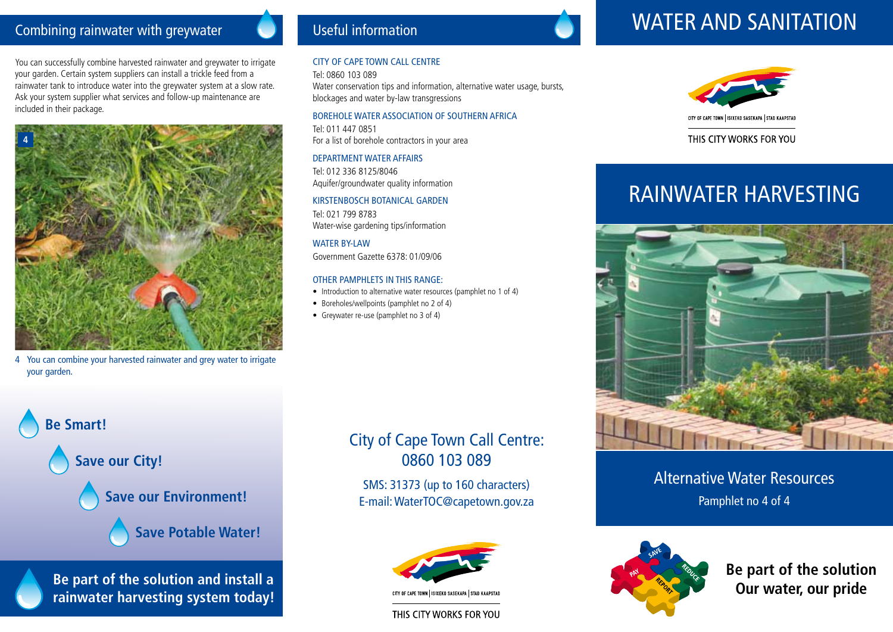### Combining rainwater with greywater

You can successfully combine harvested rainwater and greywater to irrigate your garden. Certain system suppliers can install a trickle feed from a rainwater tank to introduce water into the greywater system at a slow rate. Ask your system supplier what services and follow-up maintenance are included in their package.



4 You can combine your harvested rainwater and grey water to irrigate your garden.

## Useful information

#### City of Cape Town call centre

Tel: 0860 103 089 Water conservation tips and information, alternative water usage, bursts, blockages and water by-law transgressions

#### Borehole Water Association of Southern Africa

Tel: 011 447 0851 For a list of borehole contractors in your area

#### Department water affairs

Tel: 012 336 8125/8046 Aquifer/groundwater quality information

#### Kirstenbosch Botanical Garden Tel: 021 799 8783

Water-wise gardening tips/information

WATER BY-LAW Government Gazette 6378: 01/09/06

#### Other pamphlets in this range:

- Introduction to alternative water resources (pamphlet no 1 of 4)
- Boreholes/wellpoints (pamphlet no 2 of 4)
- Greywater re-use (pamphlet no 3 of 4)



**Be part of the solution and install a rainwater harvesting system today!**

# City of Cape Town Call Centre: 0860 103 089

Sms: 31373 (up to 160 characters) E-mail: WaterTOC@capetown.gov.za



THIS CITY WORKS FOR YOU

# WATER AND SANITATION



THIS CITY WORKS FOR YOU

# RAINWATER HARVESTING



Alternative Water Resources Pamphlet no 4 of 4



**Be part of the solution Our water, our pride**